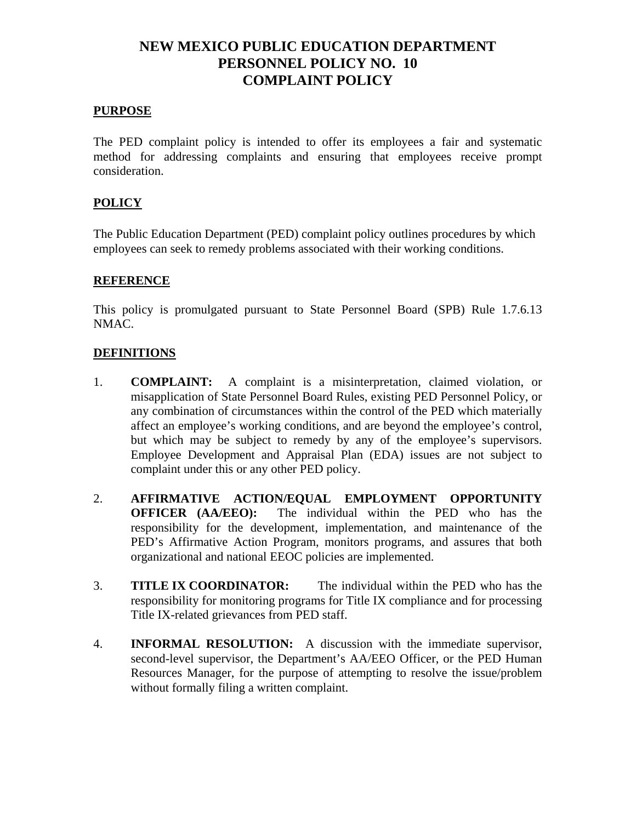## **NEW MEXICO PUBLIC EDUCATION DEPARTMENT PERSONNEL POLICY NO. 10 COMPLAINT POLICY**

#### **PURPOSE**

The PED complaint policy is intended to offer its employees a fair and systematic method for addressing complaints and ensuring that employees receive prompt consideration.

#### **POLICY**

The Public Education Department (PED) complaint policy outlines procedures by which employees can seek to remedy problems associated with their working conditions.

#### **REFERENCE**

This policy is promulgated pursuant to State Personnel Board (SPB) Rule 1.7.6.13 NMAC.

#### **DEFINITIONS**

- 1. **COMPLAINT:** A complaint is a misinterpretation, claimed violation, or misapplication of State Personnel Board Rules, existing PED Personnel Policy, or any combination of circumstances within the control of the PED which materially affect an employee's working conditions, and are beyond the employee's control, but which may be subject to remedy by any of the employee's supervisors. Employee Development and Appraisal Plan (EDA) issues are not subject to complaint under this or any other PED policy.
- 2. **AFFIRMATIVE ACTION/EQUAL EMPLOYMENT OPPORTUNITY OFFICER (AA/EEO):** The individual within the PED who has the responsibility for the development, implementation, and maintenance of the PED's Affirmative Action Program, monitors programs, and assures that both organizational and national EEOC policies are implemented.
- 3. **TITLE IX COORDINATOR:** The individual within the PED who has the responsibility for monitoring programs for Title IX compliance and for processing Title IX-related grievances from PED staff.
- 4. **INFORMAL RESOLUTION:** A discussion with the immediate supervisor, second-level supervisor, the Department's AA/EEO Officer, or the PED Human Resources Manager, for the purpose of attempting to resolve the issue/problem without formally filing a written complaint.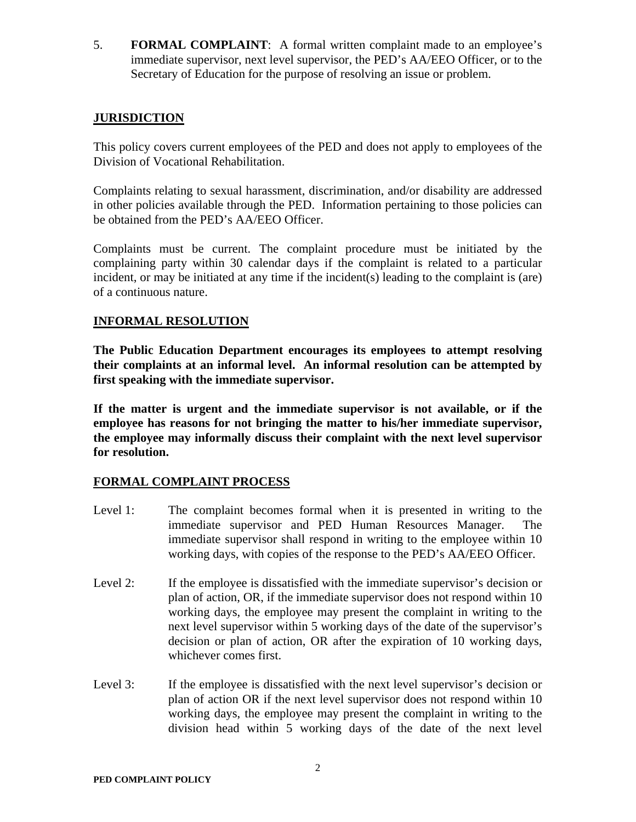5. **FORMAL COMPLAINT**: A formal written complaint made to an employee's immediate supervisor, next level supervisor, the PED's AA/EEO Officer, or to the Secretary of Education for the purpose of resolving an issue or problem.

## **JURISDICTION**

This policy covers current employees of the PED and does not apply to employees of the Division of Vocational Rehabilitation.

Complaints relating to sexual harassment, discrimination, and/or disability are addressed in other policies available through the PED. Information pertaining to those policies can be obtained from the PED's AA/EEO Officer.

Complaints must be current. The complaint procedure must be initiated by the complaining party within 30 calendar days if the complaint is related to a particular incident, or may be initiated at any time if the incident(s) leading to the complaint is (are) of a continuous nature.

## **INFORMAL RESOLUTION**

**The Public Education Department encourages its employees to attempt resolving their complaints at an informal level. An informal resolution can be attempted by first speaking with the immediate supervisor.**

**If the matter is urgent and the immediate supervisor is not available, or if the employee has reasons for not bringing the matter to his/her immediate supervisor, the employee may informally discuss their complaint with the next level supervisor for resolution.** 

## **FORMAL COMPLAINT PROCESS**

- Level 1: The complaint becomes formal when it is presented in writing to the immediate supervisor and PED Human Resources Manager. The immediate supervisor shall respond in writing to the employee within 10 working days, with copies of the response to the PED's AA/EEO Officer.
- Level 2: If the employee is dissatisfied with the immediate supervisor's decision or plan of action, OR, if the immediate supervisor does not respond within 10 working days, the employee may present the complaint in writing to the next level supervisor within 5 working days of the date of the supervisor's decision or plan of action, OR after the expiration of 10 working days, whichever comes first.
- Level 3: If the employee is dissatisfied with the next level supervisor's decision or plan of action OR if the next level supervisor does not respond within 10 working days, the employee may present the complaint in writing to the division head within 5 working days of the date of the next level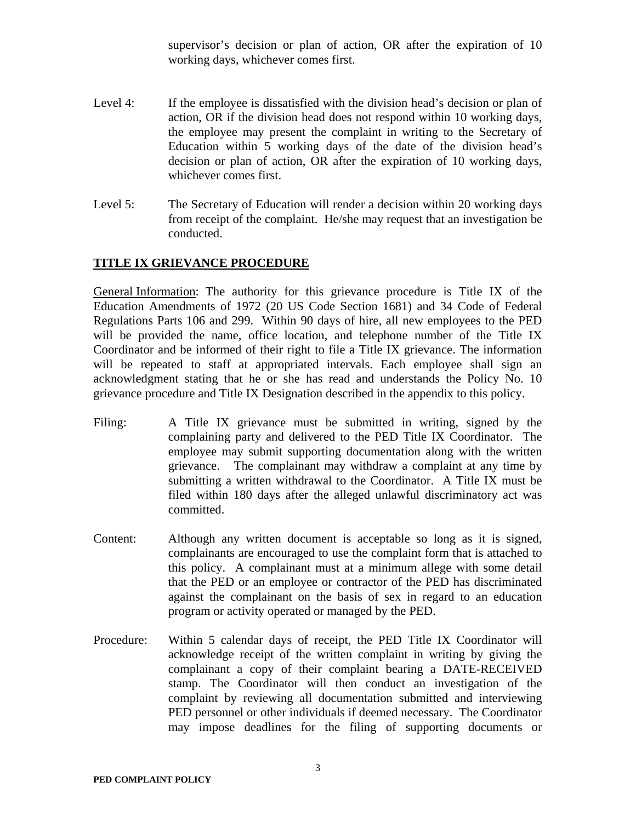supervisor's decision or plan of action, OR after the expiration of 10 working days, whichever comes first.

- Level 4: If the employee is dissatisfied with the division head's decision or plan of action, OR if the division head does not respond within 10 working days, the employee may present the complaint in writing to the Secretary of Education within 5 working days of the date of the division head's decision or plan of action, OR after the expiration of 10 working days, whichever comes first.
- Level 5: The Secretary of Education will render a decision within 20 working days from receipt of the complaint. He/she may request that an investigation be conducted.

## **TITLE IX GRIEVANCE PROCEDURE**

General Information: The authority for this grievance procedure is Title IX of the Education Amendments of 1972 (20 US Code Section 1681) and 34 Code of Federal Regulations Parts 106 and 299. Within 90 days of hire, all new employees to the PED will be provided the name, office location, and telephone number of the Title IX Coordinator and be informed of their right to file a Title IX grievance. The information will be repeated to staff at appropriated intervals. Each employee shall sign an acknowledgment stating that he or she has read and understands the Policy No. 10 grievance procedure and Title IX Designation described in the appendix to this policy.

- Filing: A Title IX grievance must be submitted in writing, signed by the complaining party and delivered to the PED Title IX Coordinator. The employee may submit supporting documentation along with the written grievance. The complainant may withdraw a complaint at any time by submitting a written withdrawal to the Coordinator. A Title IX must be filed within 180 days after the alleged unlawful discriminatory act was committed.
- Content: Although any written document is acceptable so long as it is signed, complainants are encouraged to use the complaint form that is attached to this policy. A complainant must at a minimum allege with some detail that the PED or an employee or contractor of the PED has discriminated against the complainant on the basis of sex in regard to an education program or activity operated or managed by the PED.
- Procedure: Within 5 calendar days of receipt, the PED Title IX Coordinator will acknowledge receipt of the written complaint in writing by giving the complainant a copy of their complaint bearing a DATE-RECEIVED stamp. The Coordinator will then conduct an investigation of the complaint by reviewing all documentation submitted and interviewing PED personnel or other individuals if deemed necessary. The Coordinator may impose deadlines for the filing of supporting documents or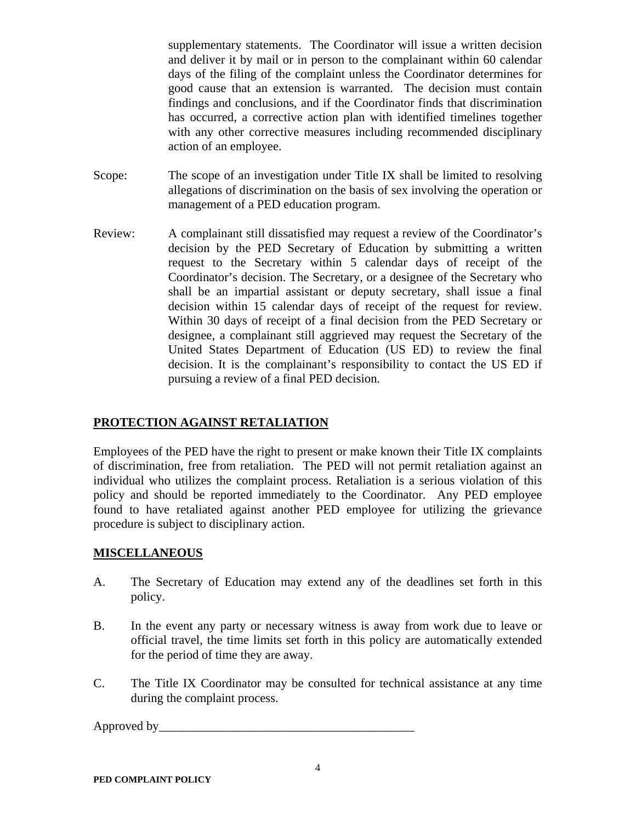supplementary statements. The Coordinator will issue a written decision and deliver it by mail or in person to the complainant within 60 calendar days of the filing of the complaint unless the Coordinator determines for good cause that an extension is warranted. The decision must contain findings and conclusions, and if the Coordinator finds that discrimination has occurred, a corrective action plan with identified timelines together with any other corrective measures including recommended disciplinary action of an employee.

- Scope: The scope of an investigation under Title IX shall be limited to resolving allegations of discrimination on the basis of sex involving the operation or management of a PED education program.
- Review: A complainant still dissatisfied may request a review of the Coordinator's decision by the PED Secretary of Education by submitting a written request to the Secretary within 5 calendar days of receipt of the Coordinator's decision. The Secretary, or a designee of the Secretary who shall be an impartial assistant or deputy secretary, shall issue a final decision within 15 calendar days of receipt of the request for review. Within 30 days of receipt of a final decision from the PED Secretary or designee, a complainant still aggrieved may request the Secretary of the United States Department of Education (US ED) to review the final decision. It is the complainant's responsibility to contact the US ED if pursuing a review of a final PED decision.

## **PROTECTION AGAINST RETALIATION**

Employees of the PED have the right to present or make known their Title IX complaints of discrimination, free from retaliation. The PED will not permit retaliation against an individual who utilizes the complaint process. Retaliation is a serious violation of this policy and should be reported immediately to the Coordinator. Any PED employee found to have retaliated against another PED employee for utilizing the grievance procedure is subject to disciplinary action.

## **MISCELLANEOUS**

- A. The Secretary of Education may extend any of the deadlines set forth in this policy.
- B. In the event any party or necessary witness is away from work due to leave or official travel, the time limits set forth in this policy are automatically extended for the period of time they are away.
- C. The Title IX Coordinator may be consulted for technical assistance at any time during the complaint process.

Approved by\_\_\_\_\_\_\_\_\_\_\_\_\_\_\_\_\_\_\_\_\_\_\_\_\_\_\_\_\_\_\_\_\_\_\_\_\_\_\_\_\_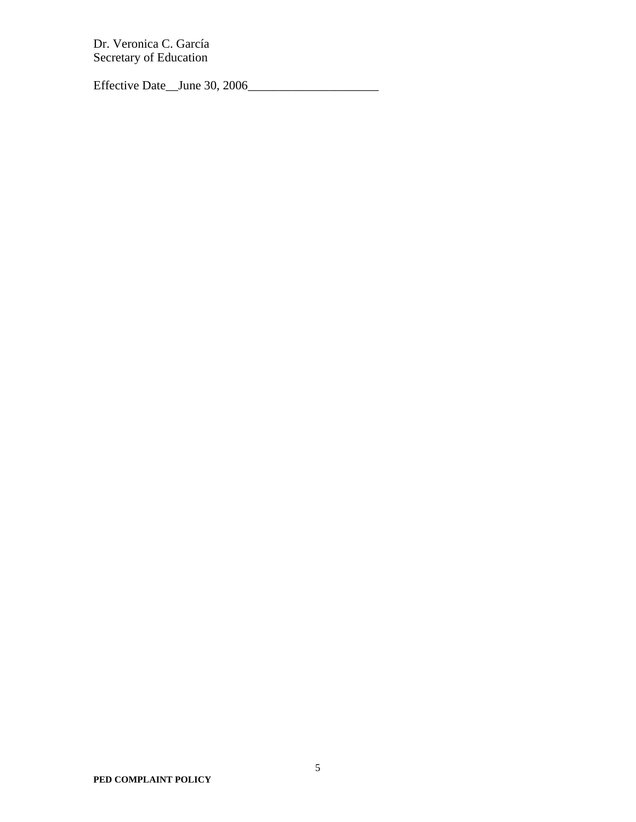Dr. Veronica C. García Secretary of Education

Effective Date\_\_June 30, 2006\_\_\_\_\_\_\_\_\_\_\_\_\_\_\_\_\_\_\_\_\_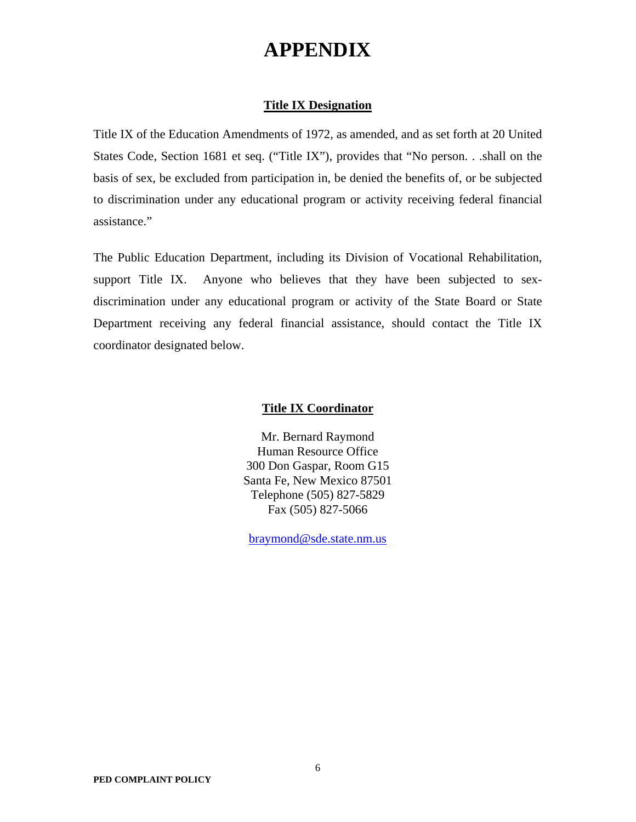# **APPENDIX**

#### **Title IX Designation**

Title IX of the Education Amendments of 1972, as amended, and as set forth at 20 United States Code, Section 1681 et seq. ("Title IX"), provides that "No person. . .shall on the basis of sex, be excluded from participation in, be denied the benefits of, or be subjected to discrimination under any educational program or activity receiving federal financial assistance."

The Public Education Department, including its Division of Vocational Rehabilitation, support Title IX. Anyone who believes that they have been subjected to sexdiscrimination under any educational program or activity of the State Board or State Department receiving any federal financial assistance, should contact the Title IX coordinator designated below.

#### **Title IX Coordinator**

Mr. Bernard Raymond Human Resource Office 300 Don Gaspar, Room G15 Santa Fe, New Mexico 87501 Telephone (505) 827-5829 Fax (505) 827-5066

braymond@sde.state.nm.us